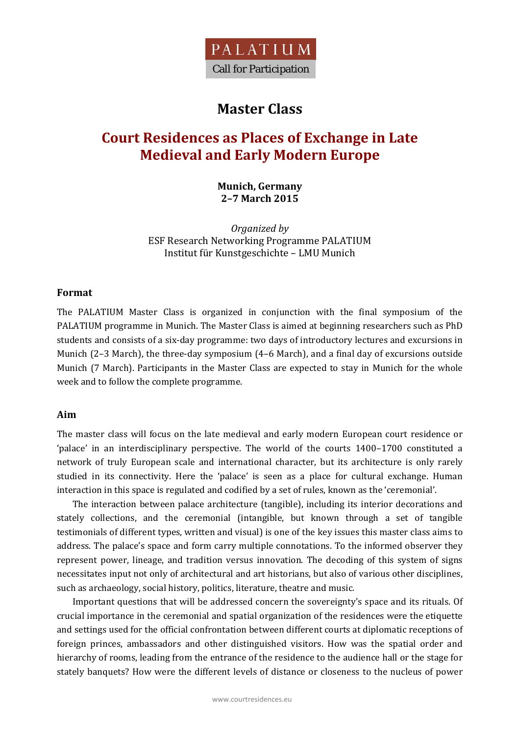

## **Master Class**

# **Court Residences as Places of Exchange in Late Medieval and Early Modern Europe**

**Munich, Germany 2–7 March 2015**

*Organized by* ESF Research Networking Programme PALATIUM Institut für Kunstgeschichte - LMU Munich

### **Format**

The PALATIUM Master Class is organized in conjunction with the final symposium of the PALATIUM programme in Munich. The Master Class is aimed at beginning researchers such as PhD students and consists of a six-day programme: two days of introductory lectures and excursions in Munich  $(2-3$  March), the three-day symposium  $(4-6$  March), and a final day of excursions outside Munich (7 March). Participants in the Master Class are expected to stay in Munich for the whole week and to follow the complete programme.

#### **Aim**

The master class will focus on the late medieval and early modern European court residence or 'palace' in an interdisciplinary perspective. The world of the courts 1400-1700 constituted a network of truly European scale and international character, but its architecture is only rarely studied in its connectivity. Here the 'palace' is seen as a place for cultural exchange. Human interaction in this space is regulated and codified by a set of rules, known as the 'ceremonial'.

The interaction between palace architecture (tangible), including its interior decorations and stately collections, and the ceremonial (intangible, but known through a set of tangible testimonials of different types, written and visual) is one of the key issues this master class aims to address. The palace's space and form carry multiple connotations. To the informed observer they represent power, lineage, and tradition versus innovation. The decoding of this system of signs necessitates input not only of architectural and art historians, but also of various other disciplines, such as archaeology, social history, politics, literature, theatre and music.

Important questions that will be addressed concern the sovereignty's space and its rituals. Of crucial importance in the ceremonial and spatial organization of the residences were the etiquette and settings used for the official confrontation between different courts at diplomatic receptions of foreign princes, ambassadors and other distinguished visitors. How was the spatial order and hierarchy of rooms, leading from the entrance of the residence to the audience hall or the stage for stately banquets? How were the different levels of distance or closeness to the nucleus of power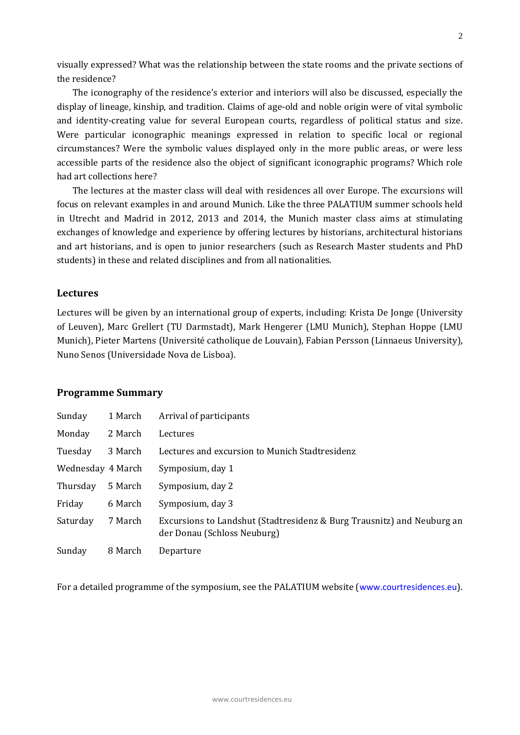visually expressed? What was the relationship between the state rooms and the private sections of the residence?

The iconography of the residence's exterior and interiors will also be discussed, especially the display of lineage, kinship, and tradition. Claims of age-old and noble origin were of vital symbolic and identity-creating value for several European courts, regardless of political status and size. Were particular iconographic meanings expressed in relation to specific local or regional circumstances? Were the symbolic values displayed only in the more public areas, or were less accessible parts of the residence also the object of significant iconographic programs? Which role had art collections here?

The lectures at the master class will deal with residences all over Europe. The excursions will focus on relevant examples in and around Munich. Like the three PALATIUM summer schools held in Utrecht and Madrid in 2012, 2013 and 2014, the Munich master class aims at stimulating exchanges of knowledge and experience by offering lectures by historians, architectural historians and art historians, and is open to junior researchers (such as Research Master students and PhD students) in these and related disciplines and from all nationalities.

### **Lectures**

Lectures will be given by an international group of experts, including: Krista De Jonge (University of Leuven), Marc Grellert (TU Darmstadt), Mark Hengerer (LMU Munich), Stephan Hoppe (LMU Munich), Pieter Martens (Université catholique de Louvain), Fabian Persson (Linnaeus University), Nuno Senos (Universidade Nova de Lisboa).

#### **Programme Summary**

| Sunday            | 1 March | Arrival of participants                                                                               |
|-------------------|---------|-------------------------------------------------------------------------------------------------------|
| Monday            | 2 March | Lectures                                                                                              |
| Tuesday           | 3 March | Lectures and excursion to Munich Stadtresidenz                                                        |
| Wednesday 4 March |         | Symposium, day 1                                                                                      |
| Thursday          | 5 March | Symposium, day 2                                                                                      |
| Friday            | 6 March | Symposium, day 3                                                                                      |
| Saturday          | 7 March | Excursions to Landshut (Stadtresidenz & Burg Trausnitz) and Neuburg an<br>der Donau (Schloss Neuburg) |
| Sunday            | 8 March | Departure                                                                                             |

For a detailed programme of the symposium, see the PALATIUM website (www.courtresidences.eu).